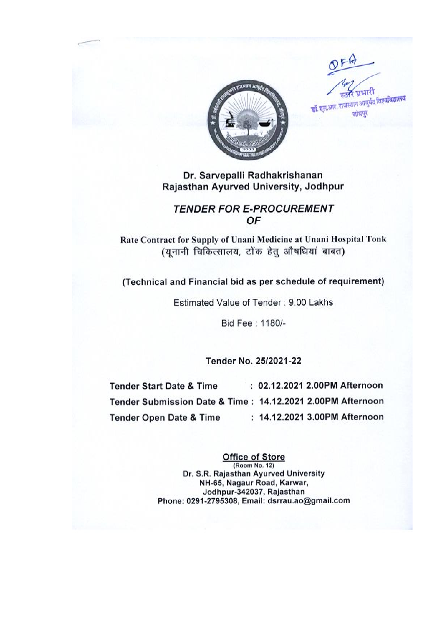

प्रधानि डॉ. एस.आर. राजस्थान आयुर्वेद विश्वविद्यालय जोधपर

# **TENDER FOR E-PROCUREMENT** OF

Rate Contract for Supply of Unani Medicine at Unani Hospital Tonk (यनानी चिकित्सालय, टोंक हेत् औषधियां बाबत)

(Technical and Financial bid as per schedule of requirement)

Estimated Value of Tender: 9.00 Lakhs

Bid Fee: 1180/-

Tender No. 25/2021-22

: 02.12.2021 2.00PM Afternoon **Tender Start Date & Time** Tender Submission Date & Time: 14.12.2021 2.00PM Afternoon : 14.12.2021 3.00PM Afternoon **Tender Open Date & Time** 

> **Office of Store** (Room No. 12) Dr. S.R. Rajasthan Ayurved University NH-65, Nagaur Road, Karwar. Jodhpur-342037, Rajasthan Phone: 0291-2795308, Email: dsrrau.ao@gmail.com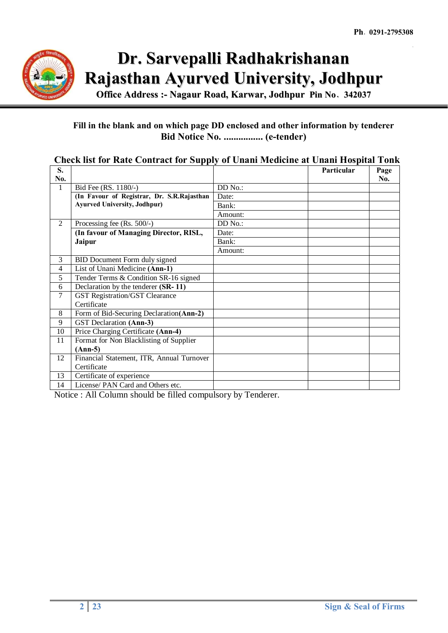

**Office Address :- Nagaur Road, Karwar, Jodhpur Pin No**- **342037**

# **Fill in the blank and on which page DD enclosed and other information by tenderer Bid Notice No. ................ (e-tender)**

# **Check list for Rate Contract for Supply of Unani Medicine at Unani Hospital Tonk**

| S.             |                                            |         | Particular | Page |
|----------------|--------------------------------------------|---------|------------|------|
| No.            |                                            |         |            | No.  |
| 1              | Bid Fee (RS. 1180/-)                       | DD No.: |            |      |
|                | (In Favour of Registrar, Dr. S.R.Rajasthan | Date:   |            |      |
|                | <b>Ayurved University, Jodhpur)</b>        | Bank:   |            |      |
|                |                                            | Amount: |            |      |
| $\overline{2}$ | Processing fee (Rs. 500/-)                 | DD No.: |            |      |
|                | (In favour of Managing Director, RISL,     | Date:   |            |      |
|                | Jaipur                                     | Bank:   |            |      |
|                |                                            | Amount: |            |      |
| 3              | BID Document Form duly signed              |         |            |      |
| 4              | List of Unani Medicine (Ann-1)             |         |            |      |
| 5              | Tender Terms & Condition SR-16 signed      |         |            |      |
| 6              | Declaration by the tenderer (SR-11)        |         |            |      |
| 7              | <b>GST Registration/GST Clearance</b>      |         |            |      |
|                | Certificate                                |         |            |      |
| 8              | Form of Bid-Securing Declaration(Ann-2)    |         |            |      |
| 9              | GST Declaration (Ann-3)                    |         |            |      |
| 10             | Price Charging Certificate (Ann-4)         |         |            |      |
| 11             | Format for Non Blacklisting of Supplier    |         |            |      |
|                | $(Ann-5)$                                  |         |            |      |
| 12             | Financial Statement, ITR, Annual Turnover  |         |            |      |
|                | Certificate                                |         |            |      |
| 13             | Certificate of experience                  |         |            |      |
| 14             | License/ PAN Card and Others etc.          |         |            |      |

Notice : All Column should be filled compulsory by Tenderer.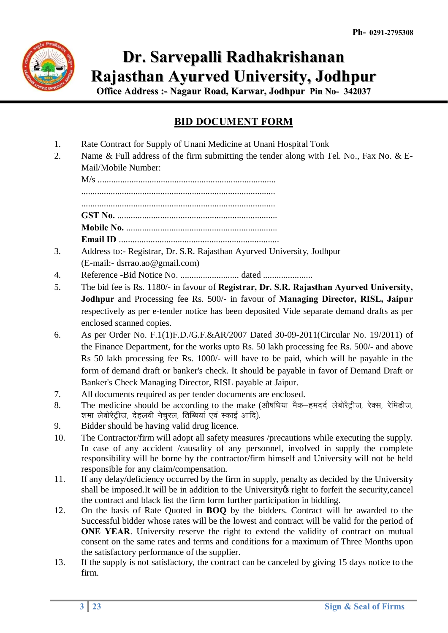

**Office Address :- Nagaur Road, Karwar, Jodhpur Pin No- 342037**

# **BID DOCUMENT FORM**

- 1. Rate Contract for Supply of Unani Medicine at Unani Hospital Tonk
- 2. Name & Full address of the firm submitting the tender along with Tel. No., Fax No. & E-Mail/Mobile Number:

M/s ............................................................................... ...................................................................................... ...................................................................................... **GST No.** ....................................................................... **Mobile No.** ................................................................... **Email ID** .......................................................................

- 3. Address to:- Registrar, Dr. S.R. Rajasthan Ayurved University, Jodhpur (E-mail:- dsrrao.ao@gmail.com)
- 4. Reference -Bid Notice No. .......................... dated ......................
- 5. The bid fee is Rs. 1180/- in favour of **Registrar, Dr. S.R. Rajasthan Ayurved University, Jodhpur** and Processing fee Rs. 500/- in favour of **Managing Director, RISL, Jaipur** respectively as per e-tender notice has been deposited Vide separate demand drafts as per enclosed scanned copies.
- 6. As per Order No. F.1(1)F.D./G.F.&AR/2007 Dated 30-09-2011(Circular No. 19/2011) of the Finance Department, for the works upto Rs. 50 lakh processing fee Rs. 500/- and above Rs 50 lakh processing fee Rs. 1000/- will have to be paid, which will be payable in the form of demand draft or banker's check. It should be payable in favor of Demand Draft or Banker's Check Managing Director, RISL payable at Jaipur.
- 7. All documents required as per tender documents are enclosed.
- 8. The medicine should be according to the make (औषधिया मैक-हमदर्द लेबोरैट्रीज, रेक्स, रेमिडीज, शमा लेबोरैट्रीज, देहलवी नेचरल, तिब्बियां एवं स्काई आदि).
- 9. Bidder should be having valid drug licence.
- 10. The Contractor/firm will adopt all safety measures /precautions while executing the supply. In case of any accident /causality of any personnel, involved in supply the complete responsibility will be borne by the contractor/firm himself and University will not be held responsible for any claim/compensation.
- 11. If any delay/deficiency occurred by the firm in supply, penalty as decided by the University shall be imposed.It will be in addition to the University of right to forfeit the security, cancel the contract and black list the firm form further participation in bidding.
- 12. On the basis of Rate Quoted in **BOQ** by the bidders. Contract will be awarded to the Successful bidder whose rates will be the lowest and contract will be valid for the period of **ONE YEAR.** University reserve the right to extend the validity of contract on mutual consent on the same rates and terms and conditions for a maximum of Three Months upon the satisfactory performance of the supplier.
- 13. If the supply is not satisfactory, the contract can be canceled by giving 15 days notice to the firm.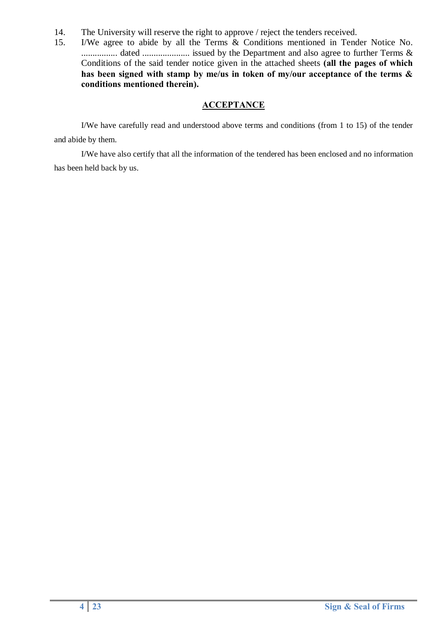- 14. The University will reserve the right to approve / reject the tenders received.
- 15. I/We agree to abide by all the Terms & Conditions mentioned in Tender Notice No. ................ dated ..................... issued by the Department and also agree to further Terms & Conditions of the said tender notice given in the attached sheets **(all the pages of which has been signed with stamp by me/us in token of my/our acceptance of the terms & conditions mentioned therein).**

# **ACCEPTANCE**

I/We have carefully read and understood above terms and conditions (from 1 to 15) of the tender and abide by them.

I/We have also certify that all the information of the tendered has been enclosed and no information has been held back by us.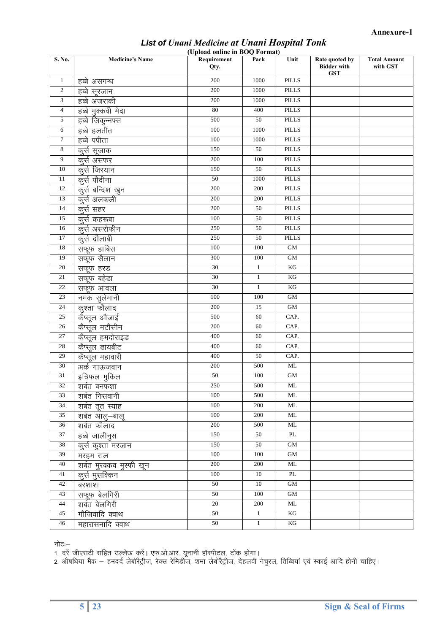#### *List of Unani Medicine at Unani Hospital Tonk* **(Upload online in BOQ Format)**

| S. No.          | <b>Medicine's Name</b>   | ÷.<br>Requirement<br>Qty. | Pack         | Unit                | Rate quoted by<br><b>Bidder with</b><br><b>GST</b> | <b>Total Amount</b><br>with GST |
|-----------------|--------------------------|---------------------------|--------------|---------------------|----------------------------------------------------|---------------------------------|
| $\mathbf{1}$    | हब्बे असगन्ध             | 200                       | 1000         | <b>PILLS</b>        |                                                    |                                 |
| $\overline{c}$  | हब्बे सूरजान             | 200                       | 1000         | PILLS               |                                                    |                                 |
| 3               | हब्बे अजराकी             | 200                       | 1000         | <b>PILLS</b>        |                                                    |                                 |
| $\overline{4}$  | हब्बे मुक्कवी मेदा       | 80                        | 400          | <b>PILLS</b>        |                                                    |                                 |
| 5               | हब्बे जिकून्नफ्स         | 500                       | 50           | <b>PILLS</b>        |                                                    |                                 |
| 6               | हब्बे हलतीत              | 100                       | 1000         | <b>PILLS</b>        |                                                    |                                 |
| 7               | हब्बे पपीता              | 100                       | 1000         | <b>PILLS</b>        |                                                    |                                 |
| $\,8\,$         | कूर्स सूजाक              | 150                       | 50           | <b>PILLS</b>        |                                                    |                                 |
| 9               | कूर्स असफर               | 200                       | 100          | <b>PILLS</b>        |                                                    |                                 |
| $10\,$          | कर्स जिरयान              | 150                       | $50\,$       | <b>PILLS</b>        |                                                    |                                 |
| 11              | कुर्स पौदीना             | 50                        | 1000         | <b>PILLS</b>        |                                                    |                                 |
| 12              | कुर्स बन्दिश खुन         | 200                       | 200          | <b>PILLS</b>        |                                                    |                                 |
| 13              | कूर्स अलकली              | 200                       | 200          | PILLS               |                                                    |                                 |
| 14              | कूर्स सहर                | 200                       | 50           | <b>PILLS</b>        |                                                    |                                 |
| 15              | कर्स कहरूबा              | 100                       | 50           | <b>PILLS</b>        |                                                    |                                 |
| 16              | कुर्स असरोफीन            | 250                       | 50           | <b>PILLS</b>        |                                                    |                                 |
| 17              | कर्स दौलाबी              | 250                       | 50           | <b>PILLS</b>        |                                                    |                                 |
| 18              | सफूफ हाबिस               | 100                       | 100          | <b>GM</b>           |                                                    |                                 |
| 19              | सफूफ सैलान               | 300                       | 100          | $\mbox{GM}$         |                                                    |                                 |
| $20\,$          | सफूफ हरड                 | 30                        | $\mathbf{1}$ | $\mathbf{KG}$       |                                                    |                                 |
| 21              | सफूफ बहेडा               | $\overline{30}$           | $\mathbf{1}$ | $\mathbf{KG}$       |                                                    |                                 |
| 22              | सफूफ आवला                | 30                        | $\mathbf{1}$ | KG                  |                                                    |                                 |
| 23              | नमक सुलेमानी             | 100                       | 100          | $\mbox{GM}$         |                                                    |                                 |
| 24              | कूश्ता फौलाद             | 200                       | 15           | $\rm GM$            |                                                    |                                 |
| 25              | कैप्सुल औजाई             | 500                       | 60           | CAP.                |                                                    |                                 |
| $26\,$          | कैप्सूल मटौसीन           | 200                       | 60           | CAP.                |                                                    |                                 |
| $\overline{27}$ | कैप्सूल हमदोराइड         | 400                       | 60           | CAP.                |                                                    |                                 |
| 28              | कैप्सूल डायबीट           | 400                       | 60           | CAP.                |                                                    |                                 |
| 29              | कैप्सूल महावारी          | 400                       | 50           | CAP.                |                                                    |                                 |
| $\overline{30}$ | अर्क गाऊजवान             | 200                       | 500          | <b>ML</b>           |                                                    |                                 |
| $\overline{31}$ | इत्रिफल मुकिल            | 50                        | 100          | $\mbox{GM}$         |                                                    |                                 |
| 32              | शर्बत बनफशा              | 250                       | 500          | $\rm ML$            |                                                    |                                 |
| 33              | शर्बत निसवानी            | 100                       | 500          | ML                  |                                                    |                                 |
| 34              | शर्बत तूत स्याह          | 100                       | 200          | ML                  |                                                    |                                 |
| $\overline{35}$ | शर्बत आलु–बालू           | 100                       | 200          | $\rm ML$            |                                                    |                                 |
| $\overline{36}$ | शर्बत फौलाद              | 200                       | 500          | $\rm ML$            |                                                    |                                 |
| 37              | हब्बे जालीनुस            | 150                       | 50           | PL                  |                                                    |                                 |
| 38              | कुर्स कुश्ता मरजान       | 150                       | 50           | $\rm GM$            |                                                    |                                 |
| 39              | मरहम राल                 | 100                       | 100          | $\overline{\rm GM}$ |                                                    |                                 |
| 40              | शर्बत मुरक्कव मुस्फी खून | 200                       | 200          | <b>ML</b>           |                                                    |                                 |
| 41              | <u>कुर्स</u> मुसक्किन    | $100\,$                   | 10           | $\mathbf{PL}$       |                                                    |                                 |
| 42              | बरशाशा                   | 50                        | $10\,$       | $\mbox{GM}$         |                                                    |                                 |
| 43              | सफूफ बेलगिरी             | 50                        | 100          | $\rm GM$            |                                                    |                                 |
| $44\,$          | शर्बत बेलगिरी            | $20\,$                    | 200          | ML                  |                                                    |                                 |
| 45              | गौजिवादि क्वाथ           | 50                        | $\,1\,$      | KG                  |                                                    |                                 |
| 46              | महारासनादि क्वाथ         | 50                        | $\mathbf{1}$ | KG                  |                                                    |                                 |

नोटः $-$ 

1. दरें जीएसटी सहित उल्लेख करें। एफ.ओ.आर. यूनानी हॉस्पीटल, टोंक होगा।

2. औषधिया मैक — हमदर्द लेबोरैट्रीज, रेक्स रेमिडीज, शमा लेबोरैट्रीज, देहलवी नेचुरल, तिब्बियां एवं स्काई आदि होनी चाहिए।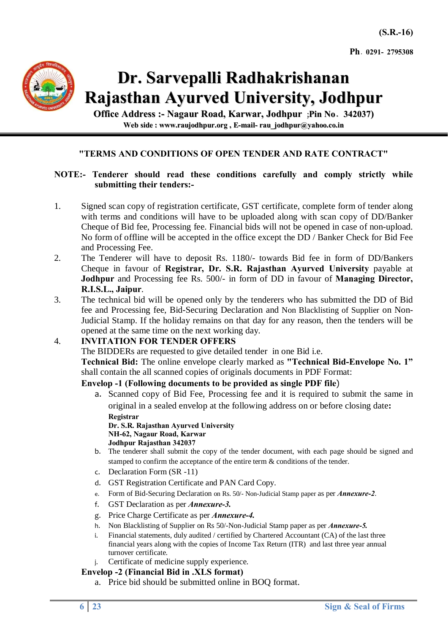

**Office Address :- Nagaur Road, Karwar, Jodhpur** (**Pin No**- **342037) Web side : www.raujodhpur.org , E-mail- rau\_jodhpur@yahoo.co.in**

## **"TERMS AND CONDITIONS OF OPEN TENDER AND RATE CONTRACT"**

#### **NOTE:- Tenderer should read these conditions carefully and comply strictly while submitting their tenders:-**

- 1. Signed scan copy of registration certificate, GST certificate, complete form of tender along with terms and conditions will have to be uploaded along with scan copy of DD/Banker Cheque of Bid fee, Processing fee. Financial bids will not be opened in case of non-upload. No form of offline will be accepted in the office except the DD / Banker Check for Bid Fee and Processing Fee.
- 2. The Tenderer will have to deposit Rs. 1180/- towards Bid fee in form of DD/Bankers Cheque in favour of **Registrar, Dr. S.R. Rajasthan Ayurved University** payable at **Jodhpur** and Processing fee Rs. 500/- in form of DD in favour of **Managing Director, R.I.S.L., Jaipur**.
- 3. The technical bid will be opened only by the tenderers who has submitted the DD of Bid fee and Processing fee, Bid-Securing Declaration and Non Blacklisting of Supplier on Non-Judicial Stamp. If the holiday remains on that day for any reason, then the tenders will be opened at the same time on the next working day.

# 4. **INVITATION FOR TENDER OFFERS**

The BIDDERs are requested to give detailed tenderin one Bid i.e.

**Technical Bid:** The online envelope clearly marked as **"Technical Bid-Envelope No. 1"** shall contain the all scanned copies of originals documents in PDF Format:

#### **Envelop -1 (Following documents to be provided as single PDF file**)

a. Scanned copy of Bid Fee, Processing fee and it is required to submit the same in original in a sealed envelop at the following address on or before closing date**: Registrar**

**Dr. S.R. Rajasthan Ayurved University NH-62, Nagaur Road, Karwar Jodhpur Rajasthan 342037**

- b. The tenderer shall submit the copy of the tender document, with each page should be signed and stamped to confirm the acceptance of the entire term & conditions of the tender.
- c. Declaration Form (SR -11)
- d. GST Registration Certificate and PAN Card Copy.
- e. Form of Bid-Securing Declaration on Rs. 50/- Non-Judicial Stamp paper as per *Annexure-2*.
- f. GST Declaration as per *Annexure-3.*
- g. Price Charge Certificate as per *Annexure-4.*
- h. Non Blacklisting of Supplier on Rs 50/-Non-Judicial Stamp paper as per *Annexure-5.*
- i. Financial statements, duly audited / certified by Chartered Accountant (CA) of the last three financial years along with the copies of Income Tax Return (ITR) and last three year annual turnover certificate.
- Certificate of medicine supply experience.

#### **Envelop -2 (Financial Bid in .XLS format)**

a. Price bid should be submitted online in BOQ format.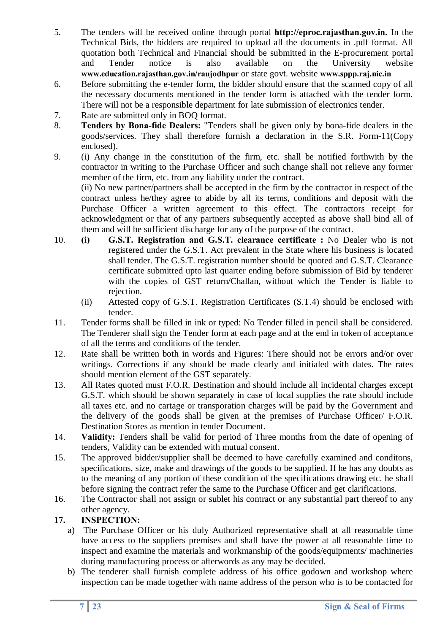- 5. The tenders will be received online through portal **http://eproc.rajasthan.gov.in.** In the Technical Bids, the bidders are required to upload all the documents in .pdf format. All quotation both Technical and Financial should be submitted in the E-procurement portal and Tender notice is also available on the University website **www.education.rajasthan.gov.in/raujodhpur** or state govt. website **www.sppp.raj.nic.in**
- 6. Before submitting the e-tender form, the bidder should ensure that the scanned copy of all the necessary documents mentioned in the tender form is attached with the tender form. There will not be a responsible department for late submission of electronics tender.
- 7. Rate are submitted only in BOQ format.
- 8. **Tenders by Bona-fide Dealers:** "Tenders shall be given only by bona-fide dealers in the goods/services. They shall therefore furnish a declaration in the S.R. Form-11(Copy enclosed).
- 9. (i) Any change in the constitution of the firm, etc. shall be notified forthwith by the contractor in writing to the Purchase Officer and such change shall not relieve any former member of the firm, etc. from any liability under the contract.

(ii) No new partner/partners shall be accepted in the firm by the contractor in respect of the contract unless he/they agree to abide by all its terms, conditions and deposit with the Purchase Officer a written agreement to this effect. The contractors receipt for acknowledgment or that of any partners subsequently accepted as above shall bind all of them and will be sufficient discharge for any of the purpose of the contract.

- 10. **(i) G.S.T. Registration and G.S.T. clearance certificate :** No Dealer who is not registered under the G.S.T. Act prevalent in the State where his business is located shall tender. The G.S.T. registration number should be quoted and G.S.T. Clearance certificate submitted upto last quarter ending before submission of Bid by tenderer with the copies of GST return/Challan, without which the Tender is liable to rejection.
	- (ii) Attested copy of G.S.T. Registration Certificates (S.T.4) should be enclosed with tender.
- 11. Tender forms shall be filled in ink or typed: No Tender filled in pencil shall be considered. The Tenderer shall sign the Tender form at each page and at the end in token of acceptance of all the terms and conditions of the tender.
- 12. Rate shall be written both in words and Figures: There should not be errors and/or over writings. Corrections if any should be made clearly and initialed with dates. The rates should mention element of the GST separately.
- 13. All Rates quoted must F.O.R. Destination and should include all incidental charges except G.S.T. which should be shown separately in case of local supplies the rate should include all taxes etc. and no cartage or transporation charges will be paid by the Government and the delivery of the goods shall be given at the premises of Purchase Officer/ F.O.R. Destination Stores as mention in tender Document.
- 14. **Validity:** Tenders shall be valid for period of Three months from the date of opening of tenders, Validity can be extended with mutual consent.
- 15. The approved bidder/supplier shall be deemed to have carefully examined and conditons, specifications, size, make and drawings of the goods to be supplied. If he has any doubts as to the meaning of any portion of these condition of the specifications drawing etc. he shall before signing the contract refer the same to the Purchase Officer and get clarifications.
- 16. The Contractor shall not assign or sublet his contract or any substantial part thereof to any other agency.

# **17. INSPECTION:**

- a) The Purchase Officer or his duly Authorized representative shall at all reasonable time have access to the suppliers premises and shall have the power at all reasonable time to inspect and examine the materials and workmanship of the goods/equipments/ machineries during manufacturing process or afterwords as any may be decided.
- b) The tenderer shall furnish complete address of his office godown and workshop where inspection can be made together with name address of the person who is to be contacted for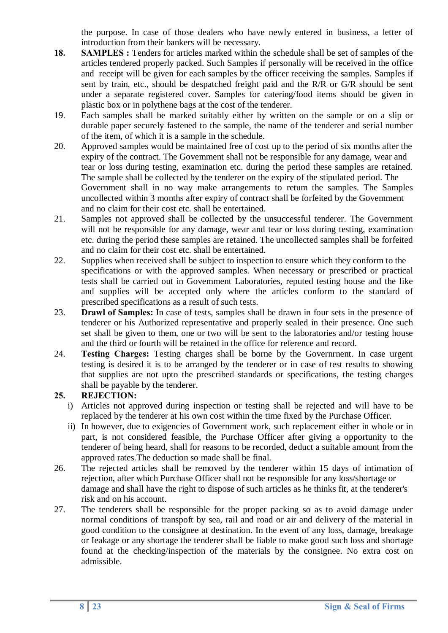the purpose. In case of those dealers who have newly entered in business, a letter of introduction from their bankers will be necessary.

- **18. SAMPLES :** Tenders for articles marked within the schedule shall be set of samples of the articles tendered properly packed. Such Samples if personally will be received in the office and receipt will be given for each samples by the officer receiving the samples. Samples if sent by train, etc., should be despatched freight paid and the R/R or G/R should be sent under a separate registered cover. Samples for catering/food items should be given in plastic box or in polythene bags at the cost of the tenderer.
- 19. Each samples shall be marked suitably either by written on the sample or on a slip or durable paper securely fastened to the sample, the name of the tenderer and serial number of the item, of which it is a sample in the schedule.
- 20. Approved samples would be maintained free of cost up to the period of six months after the expiry of the contract. The Govemment shall not be responsible for any damage, wear and tear or loss during testing, examination etc. during the period these samples are retained. The sample shall be collected by the tenderer on the expiry of the stipulated period. The Government shall in no way make arrangements to retum the samples. The Samples uncollected within 3 months after expiry of contract shall be forfeited by the Govemment and no claim for their cost etc. shall be entertained.
- 21. Samples not approved shall be collected by the unsuccessful tenderer. The Government will not be responsible for any damage, wear and tear or loss during testing, examination etc. during the period these samples are retained. The uncollected samples shall be forfeited and no claim for their cost etc. shall be entertained.
- 22. Supplies when received shall be subject to inspection to ensure which they conform to the specifications or with the approved samples. When necessary or prescribed or practical tests shall be carried out in Govemment Laboratories, reputed testing house and the like and supplies will be accepted only where the articles conform to the standard of prescribed specifications as a result of such tests.
- 23. **Drawl of Samples:** In case of tests, samples shall be drawn in four sets in the presence of tenderer or his Authorized representative and properly sealed in their presence. One such set shall be given to them, one or two will be sent to the laboratories and/or testing house and the third or fourth will be retained in the office for reference and record.
- 24. **Testing Charges:** Testing charges shall be borne by the Governrnent. In case urgent testing is desired it is to be arranged by the tenderer or in case of test results to showing that supplies are not upto the prescribed standards or specifications, the testing charges shall be payable by the tenderer.

## **25. REJECTION:**

- i) Articles not approved during inspection or testing shall be rejected and will have to be replaced by the tenderer at his own cost within the time fixed by the Purchase Officer.
- ii) In however, due to exigencies of Government work, such replacement either in whole or in part, is not considered feasible, the Purchase Officer after giving a opportunity to the tenderer of being heard, shall for reasons to be recorded, deduct a suitable amount from the approved rates.The deduction so made shall be final.
- 26. The rejected articles shall be removed by the tenderer within 15 days of intimation of rejection, after which Purchase Officer shall not be responsible for any loss/shortage or damage and shall have the right to dispose of such articles as he thinks fit, at the tenderer's risk and on his account.
- 27. The tenderers shall be responsible for the proper packing so as to avoid damage under normal conditions of transpoft by sea, rail and road or air and delivery of the material in good condition to the consignee at destination. In the event of any loss, damage, breakage or Ieakage or any shortage the tenderer shall be liable to make good such loss and shortage found at the checking/inspection of the materials by the consignee. No extra cost on admissible.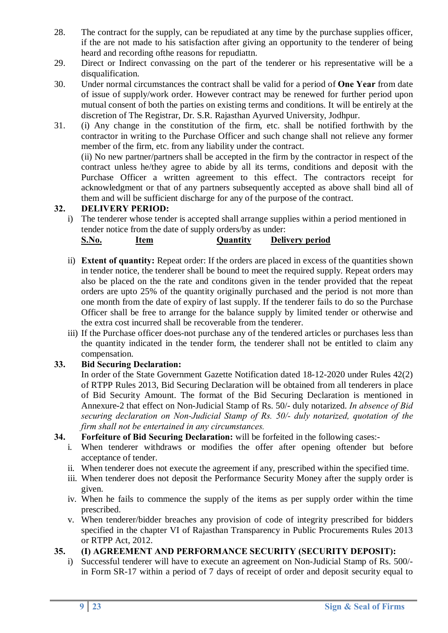- 28. The contract for the supply, can be repudiated at any time by the purchase supplies officer, if the are not made to his satisfaction after giving an opportunity to the tenderer of being heard and recording ofthe reasons for repudiattn.
- 29. Direct or Indirect convassing on the part of the tenderer or his representative will be a disqualification.
- 30. Under normal circumstances the contract shall be valid for a period of **One Year** from date of issue of supply/work order. However contract may be renewed for further period upon mutual consent of both the parties on existing terms and conditions. It will be entirely at the discretion of The Registrar, Dr. S.R. Rajasthan Ayurved University, Jodhpur.
- 31. (i) Any change in the constitution of the firm, etc. shall be notified forthwith by the contractor in writing to the Purchase Officer and such change shall not relieve any former member of the firm, etc. from any liability under the contract.

(ii) No new partner/partners shall be accepted in the firm by the contractor in respect of the contract unless he/they agree to abide by all its terms, conditions and deposit with the Purchase Officer a written agreement to this effect. The contractors receipt for acknowledgment or that of any partners subsequently accepted as above shall bind all of them and will be sufficient discharge for any of the purpose of the contract.

# **32. DELIVERY PERIOD:**

i) The tenderer whose tender is accepted shall arrange supplies within a period mentioned in tender notice from the date of supply orders/by as under:

| S.No. | Item | <b>Quantity</b> | Delivery period |
|-------|------|-----------------|-----------------|
|-------|------|-----------------|-----------------|

- ii) **Extent of quantity:** Repeat order: If the orders are placed in excess of the quantities shown in tender notice, the tenderer shall be bound to meet the required supply. Repeat orders may also be placed on the the rate and conditons given in the tender provided that the repeat orders are upto 25% of the quantity originally purchased and the period is not more than one month from the date of expiry of last supply. If the tenderer fails to do so the Purchase Officer shall be free to arrange for the balance supply by limited tender or otherwise and the extra cost incurred shall be recoverable from the tenderer.
- iii) If the Purchase officer does-not purchase any of the tendered articles or purchases less than the quantity indicated in the tender form, the tenderer shall not be entitled to claim any compensation.

# **33. Bid Securing Declaration:**

In order of the State Government Gazette Notification dated 18-12-2020 under Rules 42(2) of RTPP Rules 2013, Bid Securing Declaration will be obtained from all tenderers in place of Bid Security Amount. The format of the Bid Securing Declaration is mentioned in Annexure-2 that effect on Non-Judicial Stamp of Rs. 50/- duly notarized. *In absence of Bid securing declaration on Non-Judicial Stamp of Rs. 50/- duly notarized, quotation of the firm shall not be entertained in any circumstances.*

## **34. Forfeiture of Bid Securing Declaration:** will be forfeited in the following cases:-

- i. When tenderer withdraws or modifies the offer after opening oftender but before acceptance of tender.
- ii. When tenderer does not execute the agreement if any, prescribed within the specified time.
- iii. When tenderer does not deposit the Performance Security Money after the supply order is given.
- iv. When he fails to commence the supply of the items as per supply order within the time prescribed.
- v. When tenderer/bidder breaches any provision of code of integrity prescribed for bidders specified in the chapter VI of Rajasthan Transparency in Public Procurements Rules 2013 or RTPP Act, 2012.

# **35. (I) AGREEMENT AND PERFORMANCE SECURITY (SECURITY DEPOSIT):**

i) Successful tenderer will have to execute an agreement on Non-Judicial Stamp of Rs. 500/ in Form SR-17 within a period of 7 days of receipt of order and deposit security equal to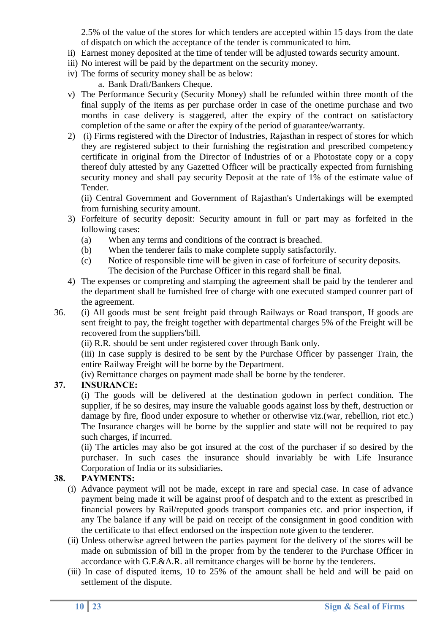2.5% of the value of the stores for which tenders are accepted within 15 days from the date of dispatch on which the acceptance of the tender is communicated to him.

- ii) Earnest money deposited at the time of tender will be adjusted towards security amount.
- iii) No interest will be paid by the department on the security money.
- iv) The forms of security money shall be as below:
	- a. Bank Draft/Bankers Cheque.
- v) The Performance Security (Security Money) shall be refunded within three month of the final supply of the items as per purchase order in case of the onetime purchase and two months in case delivery is staggered, after the expiry of the contract on satisfactory completion of the same or after the expiry of the period of guarantee/warranty.
- 2) (i) Firms registered with the Director of Industries, Rajasthan in respect of stores for which they are registered subject to their furnishing the registration and prescribed competency certificate in original from the Director of Industries of or a Photostate copy or a copy thereof duly attested by any Gazetted Officer will be practically expected from furnishing security money and shall pay security Deposit at the rate of 1% of the estimate value of Tender.

(ii) Central Government and Government of Rajasthan's Undertakings will be exempted from furnishing security amount.

- 3) Forfeiture of security deposit: Security amount in full or part may as forfeited in the following cases:
	- (a) When any terms and conditions of the contract is breached.
	- (b) When the tenderer fails to make complete supply satisfactorily.
	- (c) Notice of responsible time will be given in case of forfeiture of security deposits. The decision of the Purchase Officer in this regard shall be final.
- 4) The expenses or compreting and stamping the agreement shall be paid by the tenderer and the department shall be furnished free of charge with one executed stamped counrer part of the agreement.
- 36. (i) All goods must be sent freight paid through Railways or Road transport, If goods are sent freight to pay, the freight together with departmental charges 5% of the Freight will be recovered from the suppliers'bill.

(ii) R.R. should be sent under registered cover through Bank only.

(iii) In case supply is desired to be sent by the Purchase Officer by passenger Train, the entire Railway Freight will be borne by the Department.

(iv) Remittance charges on payment made shall be borne by the tenderer.

## **37. INSURANCE:**

(i) The goods will be delivered at the destination godown in perfect condition. The supplier, if he so desires, may insure the valuable goods against loss by theft, destruction or damage by fire, flood under exposure to whether or otherwise viz.(war, rebellion, riot etc.) The Insurance charges will be borne by the supplier and state will not be required to pay such charges, if incurred.

(ii) The articles may also be got insured at the cost of the purchaser if so desired by the purchaser. In such cases the insurance should invariably be with Life Insurance Corporation of India or its subsidiaries.

# **38. PAYMENTS:**

- (i) Advance payment will not be made, except in rare and special case. In case of advance payment being made it will be against proof of despatch and to the extent as prescribed in financial powers by Rail/reputed goods transport companies etc. and prior inspection, if any The balance if any will be paid on receipt of the consignment in good condition with the certificate to that effect endorsed on the inspection note given to the tenderer.
- (ii) Unless otherwise agreed between the parties payment for the delivery of the stores will be made on submission of bill in the proper from by the tenderer to the Purchase Officer in accordance with G.F.&A.R. all remittance charges will be borne by the tenderers.
- (iii) In case of disputed items, 10 to 25% of the amount shall be held and will be paid on settlement of the dispute.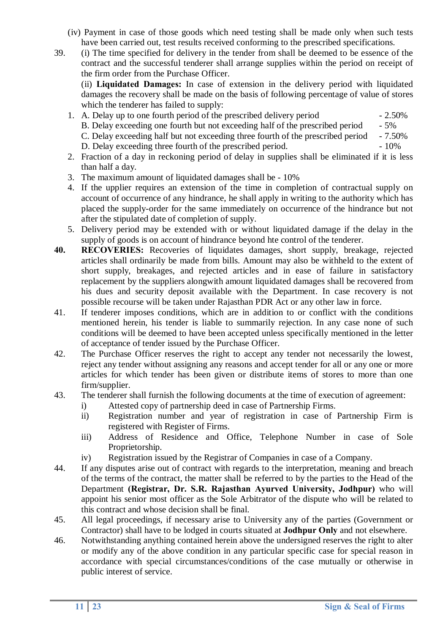- (iv) Payment in case of those goods which need testing shall be made only when such tests have been carried out, test results received conforming to the prescribed specifications.
- 39. (i) The time specified for delivery in the tender from shall be deemed to be essence of the contract and the successful tenderer shall arrange supplies within the period on receipt of the firm order from the Purchase Officer.

(ii) **Liquidated Damages:** In case of extension in the delivery period with liquidated damages the recovery shall be made on the basis of following percentage of value of stores which the tenderer has failed to supply:

- 1. A. Delay up to one fourth period of the prescribed delivery period 2.50% B. Delay exceeding one fourth but not exceeding half of the prescribed period - 5% C. Delay exceeding half but not exceeding three fourth of the prescribed period - 7.50% D. Delay exceeding three fourth of the prescribed period. - 10%
- 2. Fraction of a day in reckoning period of delay in supplies shall be eliminated if it is less than half a day.
- 3. The maximum amount of liquidated damages shall be 10%
- 4. If the upplier requires an extension of the time in completion of contractual supply on account of occurrence of any hindrance, he shall apply in writing to the authority which has placed the supply-order for the same immediately on occurrence of the hindrance but not after the stipulated date of completion of supply.
- 5. Delivery period may be extended with or without liquidated damage if the delay in the supply of goods is on account of hindrance beyond hte control of the tenderer.
- **40. RECOVERIES:** Recoveries of liquidates damages, short supply, breakage, rejected articles shall ordinarily be made from bills. Amount may also be withheld to the extent of short supply, breakages, and rejected articles and in ease of failure in satisfactory replacement by the suppliers alongwith amount liquidated damages shall be recovered from his dues and security deposit available with the Department. In case recovery is not possible recourse will be taken under Rajasthan PDR Act or any other law in force.
- 41. If tenderer imposes conditions, which are in addition to or conflict with the conditions mentioned herein, his tender is liable to summarily rejection. In any case none of such conditions will be deemed to have been accepted unless specifically mentioned in the letter of acceptance of tender issued by the Purchase Officer.
- 42. The Purchase Officer reserves the right to accept any tender not necessarily the lowest, reject any tender without assigning any reasons and accept tender for all or any one or more articles for which tender has been given or distribute items of stores to more than one firm/supplier.
- 43. The tenderer shall furnish the following documents at the time of execution of agreement:
	- i) Attested copy of partnership deed in case of Partnership Firms.
	- ii) Registration number and year of registration in case of Partnership Firm is registered with Register of Firms.
	- iii) Address of Residence and Office, Telephone Number in case of Sole Proprietorship.
	- iv) Registration issued by the Registrar of Companies in case of a Company.
- 44. If any disputes arise out of contract with regards to the interpretation, meaning and breach of the terms of the contract, the matter shall be referred to by the parties to the Head of the Department **(Registrar, Dr. S.R. Rajasthan Ayurved University, Jodhpur)** who will appoint his senior most officer as the Sole Arbitrator of the dispute who will be related to this contract and whose decision shall be final.
- 45. All legal proceedings, if necessary arise to University any of the parties (Government or Contractor) shall have to be lodged in courts situated at **Jodhpur Only** and not elsewhere.
- 46. Notwithstanding anything contained herein above the undersigned reserves the right to alter or modify any of the above condition in any particular specific case for special reason in accordance with special circumstances/conditions of the case mutually or otherwise in public interest of service.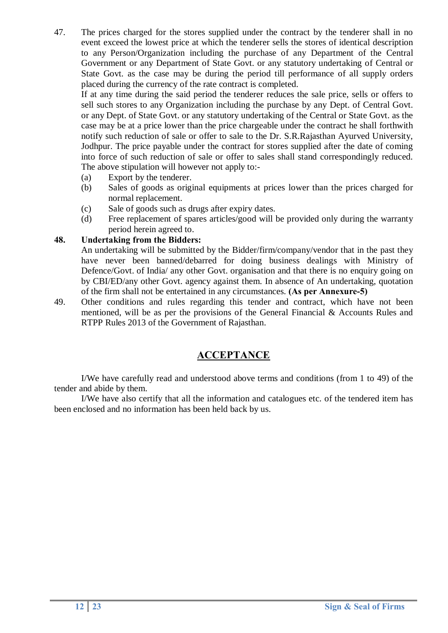47. The prices charged for the stores supplied under the contract by the tenderer shall in no event exceed the lowest price at which the tenderer sells the stores of identical description to any Person/Organization including the purchase of any Department of the Central Government or any Department of State Govt. or any statutory undertaking of Central or State Govt. as the case may be during the period till performance of all supply orders placed during the currency of the rate contract is completed.

If at any time during the said period the tenderer reduces the sale price, sells or offers to sell such stores to any Organization including the purchase by any Dept. of Central Govt. or any Dept. of State Govt. or any statutory undertaking of the Central or State Govt. as the case may be at a price lower than the price chargeable under the contract he shall forthwith notify such reduction of sale or offer to sale to the Dr. S.R.Rajasthan Ayurved University, Jodhpur. The price payable under the contract for stores supplied after the date of coming into force of such reduction of sale or offer to sales shall stand correspondingly reduced. The above stipulation will however not apply to:-

- (a) Export by the tenderer.
- (b) Sales of goods as original equipments at prices lower than the prices charged for normal replacement.
- (c) Sale of goods such as drugs after expiry dates.
- (d) Free replacement of spares articles/good will be provided only during the warranty period herein agreed to.

# **48. Undertaking from the Bidders:**

An undertaking will be submitted by the Bidder/firm/company/vendor that in the past they have never been banned/debarred for doing business dealings with Ministry of Defence/Govt. of India/ any other Govt. organisation and that there is no enquiry going on by CBI/ED/any other Govt. agency against them. In absence of An undertaking, quotation of the firm shall not be entertained in any circumstances. **(As per Annexure-5)**

49. Other conditions and rules regarding this tender and contract, which have not been mentioned, will be as per the provisions of the General Financial & Accounts Rules and RTPP Rules 2013 of the Government of Rajasthan.

# **ACCEPTANCE**

I/We have carefully read and understood above terms and conditions (from 1 to 49) of the tender and abide by them.

I/We have also certify that all the information and catalogues etc. of the tendered item has been enclosed and no information has been held back by us.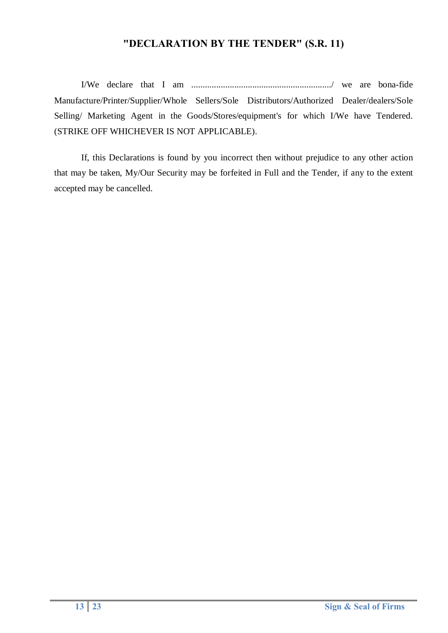# **"DECLARATION BY THE TENDER" (S.R. 11)**

I/We declare that I am ............................................................../ we are bona-fide Manufacture/Printer/Supplier/Whole Sellers/Sole Distributors/Authorized Dealer/dealers/Sole Selling/ Marketing Agent in the Goods/Stores/equipment's for which I/We have Tendered. (STRIKE OFF WHICHEVER IS NOT APPLICABLE).

If, this Declarations is found by you incorrect then without prejudice to any other action that may be taken, My/Our Security may be forfeited in Full and the Tender, if any to the extent accepted may be cancelled.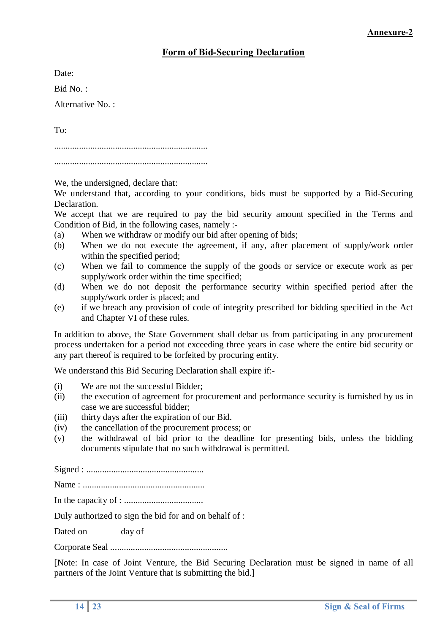# **Form of Bid-Securing Declaration**

Date:

Bid No. :

Alternative No.<sup>.</sup>

To:

....................................................................

....................................................................

We, the undersigned, declare that:

We understand that, according to your conditions, bids must be supported by a Bid-Securing Declaration.

We accept that we are required to pay the bid security amount specified in the Terms and Condition of Bid, in the following cases, namely :-

- (a) When we withdraw or modify our bid after opening of bids;
- (b) When we do not execute the agreement, if any, after placement of supply/work order within the specified period;
- (c) When we fail to commence the supply of the goods or service or execute work as per supply/work order within the time specified;
- (d) When we do not deposit the performance security within specified period after the supply/work order is placed; and
- (e) if we breach any provision of code of integrity prescribed for bidding specified in the Act and Chapter VI of these rules.

In addition to above, the State Government shall debar us from participating in any procurement process undertaken for a period not exceeding three years in case where the entire bid security or any part thereof is required to be forfeited by procuring entity.

We understand this Bid Securing Declaration shall expire if:-

- (i) We are not the successful Bidder;
- (ii) the execution of agreement for procurement and performance security is furnished by us in case we are successful bidder;
- (iii) thirty days after the expiration of our Bid.
- (iv) the cancellation of the procurement process; or
- (v) the withdrawal of bid prior to the deadline for presenting bids, unless the bidding documents stipulate that no such withdrawal is permitted.

Signed : ....................................................

Name : ......................................................

In the capacity of : ...................................

Duly authorized to sign the bid for and on behalf of :

Dated on day of

Corporate Seal ....................................................

[Note: In case of Joint Venture, the Bid Securing Declaration must be signed in name of all partners of the Joint Venture that is submitting the bid.]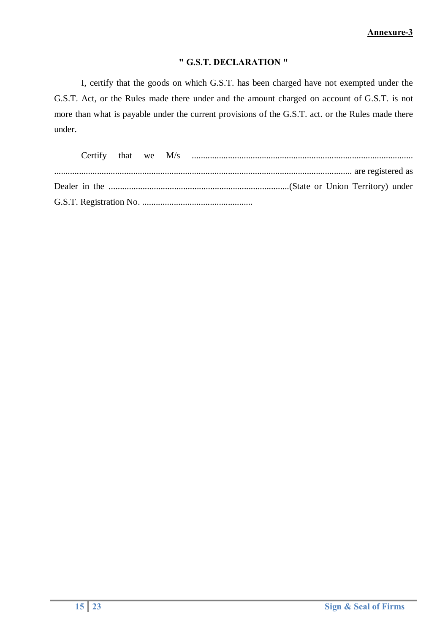#### **" G.S.T. DECLARATION "**

I, certify that the goods on which G.S.T. has been charged have not exempted under the G.S.T. Act, or the Rules made there under and the amount charged on account of G.S.T. is not more than what is payable under the current provisions of the G.S.T. act. or the Rules made there under.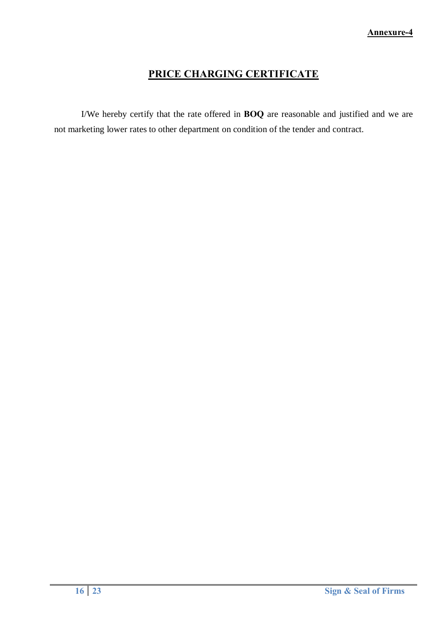# **PRICE CHARGING CERTIFICATE**

I/We hereby certify that the rate offered in **BOQ** are reasonable and justified and we are not marketing lower rates to other department on condition of the tender and contract.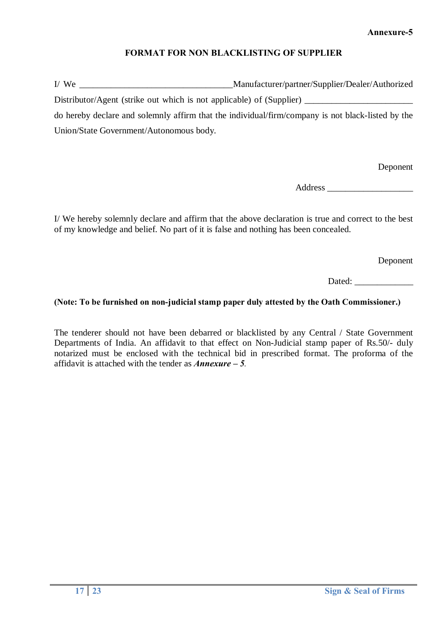# **FORMAT FOR NON BLACKLISTING OF SUPPLIER**

I/ We \_\_\_\_\_\_\_\_\_\_\_\_\_\_\_\_\_\_\_\_\_\_\_\_\_\_\_\_\_\_\_\_\_\_Manufacturer/partner/Supplier/Dealer/Authorized

Distributor/Agent (strike out which is not applicable) of (Supplier)

do hereby declare and solemnly affirm that the individual/firm/company is not black-listed by the Union/State Government/Autonomous body.

Deponent

Address \_\_\_\_\_\_\_\_\_\_\_\_\_\_\_\_\_\_\_

I/ We hereby solemnly declare and affirm that the above declaration is true and correct to the best of my knowledge and belief. No part of it is false and nothing has been concealed.

Deponent

Dated:

# **(Note: To be furnished on non-judicial stamp paper duly attested by the Oath Commissioner.)**

The tenderer should not have been debarred or blacklisted by any Central / State Government Departments of India. An affidavit to that effect on Non-Judicial stamp paper of Rs.50/- duly notarized must be enclosed with the technical bid in prescribed format. The proforma of the affidavit is attached with the tender as *Annexure – 5.*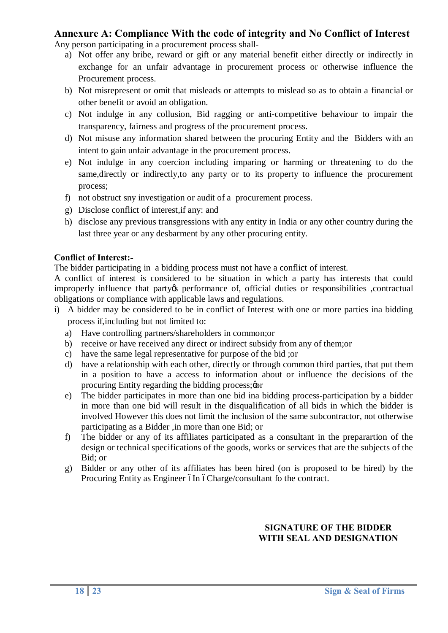# **Annexure A: Compliance With the code of integrity and No Conflict of Interest**

Any person participating in a procurement process shall-

- a) Not offer any bribe, reward or gift or any material benefit either directly or indirectly in exchange for an unfair advantage in procurement process or otherwise influence the Procurement process.
- b) Not misrepresent or omit that misleads or attempts to mislead so as to obtain a financial or other benefit or avoid an obligation.
- c) Not indulge in any collusion, Bid ragging or anti-competitive behaviour to impair the transparency, fairness and progress of the procurement process.
- d) Not misuse any information shared between the procuring Entity and the Bidders with an intent to gain unfair advantage in the procurement process.
- e) Not indulge in any coercion including imparing or harming or threatening to do the same,directly or indirectly,to any party or to its property to influence the procurement process;
- f) not obstruct sny investigation or audit of a procurement process.
- g) Disclose conflict of interest,if any: and
- h) disclose any previous transgressions with any entity in India or any other country during the last three year or any desbarment by any other procuring entity.

## **Conflict of Interest:-**

The bidder participating in a bidding process must not have a conflict of interest.

A conflict of interest is considered to be situation in which a party has interests that could improperly influence that party operformance of, official duties or responsibilities , contractual obligations or compliance with applicable laws and regulations.

- i) A bidder may be considered to be in conflict of Interest with one or more parties ina bidding process if,including but not limited to:
	- a) Have controlling partners/shareholders in common;or
	- b) receive or have received any direct or indirect subsidy from any of them;or
	- c) have the same legal representative for purpose of the bid ;or
	- d) have a relationship with each other, directly or through common third parties, that put them in a position to have a access to information about or influence the decisions of the procuring Entity regarding the bidding process;  $\phi$
	- e) The bidder participates in more than one bid ina bidding process-participation by a bidder in more than one bid will result in the disqualification of all bids in which the bidder is involved However this does not limit the inclusion of the same subcontractor, not otherwise participating as a Bidder ,in more than one Bid; or
	- f) The bidder or any of its affiliates participated as a consultant in the preparartion of the design or technical specifications of the goods, works or services that are the subjects of the Bid; or
	- g) Bidder or any other of its affiliates has been hired (on is proposed to be hired) by the Procuring Entity as Engineer óIn óCharge/consultant fo the contract.

#### **SIGNATURE OF THE BIDDER WITH SEAL AND DESIGNATION**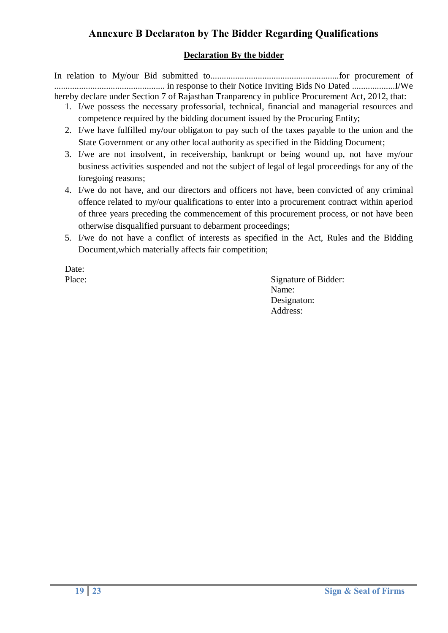# **Annexure B Declaraton by The Bidder Regarding Qualifications**

## **Declaration By the bidder**

In relation to My/our Bid submitted to.........................................................for procurement of ................................................. in response to their Notice Inviting Bids No Dated ...................I/We hereby declare under Section 7 of Rajasthan Tranparency in publice Procurement Act, 2012, that:

- 1. I/we possess the necessary professorial, technical, financial and managerial resources and competence required by the bidding document issued by the Procuring Entity;
- 2. I/we have fulfilled my/our obligaton to pay such of the taxes payable to the union and the State Government or any other local authority as specified in the Bidding Document;
- 3. I/we are not insolvent, in receivership, bankrupt or being wound up, not have my/our business activities suspended and not the subject of legal of legal proceedings for any of the foregoing reasons;
- 4. I/we do not have, and our directors and officers not have, been convicted of any criminal offence related to my/our qualifications to enter into a procurement contract within aperiod of three years preceding the commencement of this procurement process, or not have been otherwise disqualified pursuant to debarment proceedings;
- 5. I/we do not have a conflict of interests as specified in the Act, Rules and the Bidding Document,which materially affects fair competition;

Date:

Place: Signature of Bidder: Name: Designaton: Address: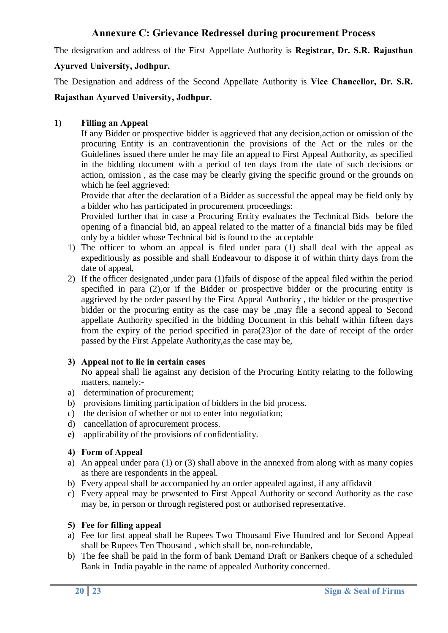# **Annexure C: Grievance Redressel during procurement Process**

The designation and address of the First Appellate Authority is **Registrar, Dr. S.R. Rajasthan** 

# **Ayurved University, Jodhpur.**

The Designation and address of the Second Appellate Authority is **Vice Chancellor, Dr. S.R.** 

# **Rajasthan Ayurved University, Jodhpur.**

# **1) Filling an Appeal**

If any Bidder or prospective bidder is aggrieved that any decision,action or omission of the procuring Entity is an contraventionin the provisions of the Act or the rules or the Guidelines issued there under he may file an appeal to First Appeal Authority, as specified in the bidding document with a period of ten days from the date of such decisions or action, omission , as the case may be clearly giving the specific ground or the grounds on which he feel aggrieved:

Provide that after the declaration of a Bidder as successful the appeal may be field only by a bidder who has participated in procurement proceedings:

Provided further that in case a Procuring Entity evaluates the Technical Bids before the opening of a financial bid, an appeal related to the matter of a financial bids may be filed only by a bidder whose Technical bid is found to the acceptable

- 1) The officer to whom an appeal is filed under para (1) shall deal with the appeal as expeditiously as possible and shall Endeavour to dispose it of within thirty days from the date of appeal,
- 2) If the officer designated ,under para (1)fails of dispose of the appeal filed within the period specified in para (2),or if the Bidder or prospective bidder or the procuring entity is aggrieved by the order passed by the First Appeal Authority , the bidder or the prospective bidder or the procuring entity as the case may be ,may file a second appeal to Second appellate Authority specified in the bidding Document in this behalf within fifteen days from the expiry of the period specified in para(23)or of the date of receipt of the order passed by the First Appelate Authority,as the case may be,

# **3) Appeal not to lie in certain cases**

No appeal shall lie against any decision of the Procuring Entity relating to the following matters, namely:-

- a) determination of procurement;
- b) provisions limiting participation of bidders in the bid process.
- c) the decision of whether or not to enter into negotiation;
- d) cancellation of aprocurement process.
- **e)** applicability of the provisions of confidentiality.

## **4) Form of Appeal**

- a) An appeal under para (1) or (3) shall above in the annexed from along with as many copies as there are respondents in the appeal.
- b) Every appeal shall be accompanied by an order appealed against, if any affidavit
- c) Every appeal may be prwsented to First Appeal Authority or second Authority as the case may be, in person or through registered post or authorised representative.

## **5) Fee for filling appeal**

- a) Fee for first appeal shall be Rupees Two Thousand Five Hundred and for Second Appeal shall be Rupees Ten Thousand , which shall be, non-refundable,
- b) The fee shall be paid in the form of bank Demand Draft or Bankers cheque of a scheduled Bank in India payable in the name of appealed Authority concerned.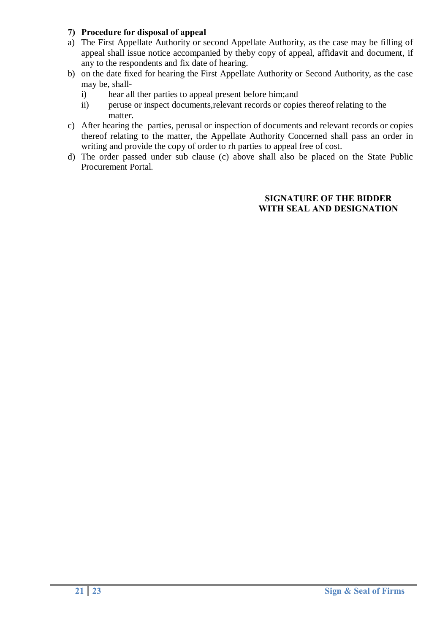# **7) Procedure for disposal of appeal**

- a) The First Appellate Authority or second Appellate Authority, as the case may be filling of appeal shall issue notice accompanied by theby copy of appeal, affidavit and document, if any to the respondents and fix date of hearing.
- b) on the date fixed for hearing the First Appellate Authority or Second Authority, as the case may be, shall
	- i) hear all ther parties to appeal present before him;and
	- ii) peruse or inspect documents,relevant records or copies thereof relating to the matter.
- c) After hearing the parties, perusal or inspection of documents and relevant records or copies thereof relating to the matter, the Appellate Authority Concerned shall pass an order in writing and provide the copy of order to rh parties to appeal free of cost.
- d) The order passed under sub clause (c) above shall also be placed on the State Public Procurement Portal.

#### **SIGNATURE OF THE BIDDER WITH SEAL AND DESIGNATION**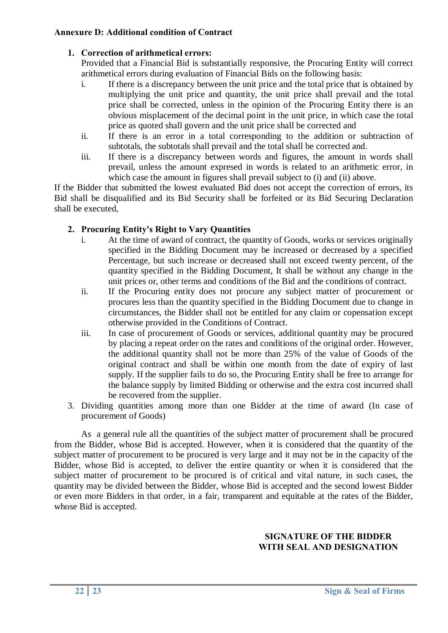## **Annexure D: Additional condition of Contract**

# **1. Correction of arithmetical errors:**

Provided that a Financial Bid is substantially responsive, the Procuring Entity will correct arithmetical errors during evaluation of Financial Bids on the following basis:

- i. If there is a discrepancy between the unit price and the total price that is obtained by multiplying the unit price and quantity, the unit price shall prevail and the total price shall be corrected, unless in the opinion of the Procuring Entity there is an obvious misplacement of the decimal point in the unit price, in which case the total price as quoted shall govern and the unit price shall be corrected and
- ii. If there is an error in a total corresponding to the addition or subtraction of subtotals, the subtotals shall prevail and the total shall be corrected and.
- iii. If there is a discrepancy between words and figures, the amount in words shall prevail, unless the amount expresed in words is related to an arithmetic error, in which case the amount in figures shall prevail subject to (i) and (ii) above.

If the Bidder that submitted the lowest evaluated Bid does not accept the correction of errors, its Bid shall be disqualified and its Bid Security shall be forfeited or its Bid Securing Declaration shall be executed,

# **2. Procuring Entity's Right to Vary Quantities**

- i. At the time of award of contract, the quantity of Goods, works or services originally specified in the Bidding Document may be increased or decreased by a specified Percentage, but such increase or decreased shall not exceed twenty percent, of the quantity specified in the Bidding Document, It shall be without any change in the unit prices or, other terms and conditions of the Bid and the conditions of contract.
- ii. If the Procuring entity does not procure any subject matter of procurement or procures less than the quantity specified in the Bidding Document due to change in circumstances, the Bidder shall not be entitled for any claim or copensation except otherwise provided in the Conditions of Contract.
- iii. In case of procurement of Goods or services, additional quantity may be procured by placing a repeat order on the rates and conditions of the original order. However, the additional quantity shall not be more than 25% of the value of Goods of the original contract and shall be within one month from the date of expiry of last supply. If the supplier fails to do so, the Procuring Entity shall be free to arrange for the balance supply by limited Bidding or otherwise and the extra cost incurred shall be recovered from the supplier.
- 3. Dividing quantities among more than one Bidder at the time of award (In case of procurement of Goods)

As a general rule all the quantities of the subject matter of procurement shall be procured from the Bidder, whose Bid is accepted. However, when it is considered that the quantity of the subject matter of procurement to be procured is very large and it may not be in the capacity of the Bidder, whose Bid is accepted, to deliver the entire quantity or when it is considered that the subject matter of procurement to be procured is of critical and vital nature, in such cases, the quantity may be divided between the Bidder, whose Bid is accepted and the second lowest Bidder or even more Bidders in that order, in a fair, transparent and equitable at the rates of the Bidder, whose Bid is accepted.

# **SIGNATURE OF THE BIDDER WITH SEAL AND DESIGNATION**